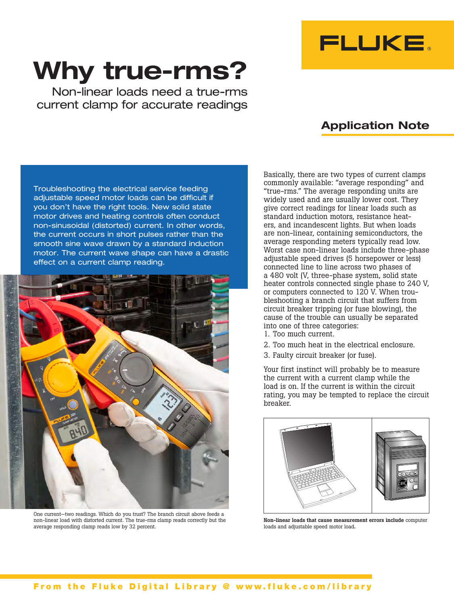

## **Why true-rms?**

Non-linear loads need a true-rms current clamp for accurate readings

## **Application Note**

Troubleshooting the electrical service feeding adjustable speed motor loads can be difficult if you don't have the right tools. New solid state motor drives and heating controls often conduct non-sinusoidal (distorted) current. In other words, the current occurs in short pulses rather than the smooth sine wave drawn by a standard induction motor. The current wave shape can have a drastic effect on a current clamp reading.



One current—two readings. Which do you trust? The branch circuit above feeds a non-linear load with distorted current. The true-rms clamp reads correctly but the average responding clamp reads low by 32 percent.

Basically, there are two types of current clamps commonly available: "average responding" and "true-rms." The average responding units are widely used and are usually lower cost. They give correct readings for linear loads such as standard induction motors, resistance heaters, and incandescent lights. But when loads are non-linear, containing semiconductors, the average responding meters typically read low. Worst case non-linear loads include three-phase adjustable speed drives (5 horsepower or less) connected line to line across two phases of a 480 volt (V, three-phase system, solid state heater controls connected single phase to 240 V, or computers connected to 120 V. When troubleshooting a branch circuit that suffers from circuit breaker tripping (or fuse blowing), the cause of the trouble can usually be separated into one of three categories:

- 1. Too much current.
- 2. Too much heat in the electrical enclosure.
- 3. Faulty circuit breaker (or fuse).

Your first instinct will probably be to measure the current with a current clamp while the load is on. If the current is within the circuit rating, you may be tempted to replace the circuit breaker.



Non-linear loads that cause measurement errors include computer loads and adjustable speed motor load.